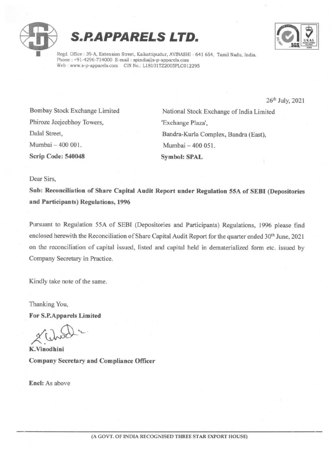





Regd. Office : 39-A, Extension Street, Kaikattipudur, AVINASHI - 641 654, Tamil Nadu, India. Phone : +91-4296-714000 E-mail : spindia@s-p-apparels.com Web : www.s-p-apparels.com CIN No.: L18101TZ2005PLC012295

26" July, <sup>2021</sup>

Phiroze Jeejeebhoy Towers, "Exchange Plaza', Mumbai - 400 001. Mumbai - 400 051. Scrip Code: 540048 Symbol: SPAL

Bombay Stock Exchange Limited National Stock Exchange of India Limited Dalal Street, Bandra-Kurla Complex, Bandra (East),

Dear Sirs,

Sub: Reconciliation of Share Capital Audit Report under Regulation 55A of SEBI (Depositories and Participants) Regulations, 1996

Pursuant to Regulation 55A of SEBI (Depositories and Participants) Regulations, <sup>1996</sup> please find enclosed herewith the Reconciliation of Share Capital Audit Report for the quarter ended 30<sup>th</sup> June, 2021 on the reconciliation of capital issued, listed and capital held in dematerialized form etc. issued by Company Secretary in Practice.

Kindly take note of the same.

Thanking You, For S.P.Apparels Limited

ichod :-

K.Vinodhini Company Secretary and Compliance Officer

Encl: As above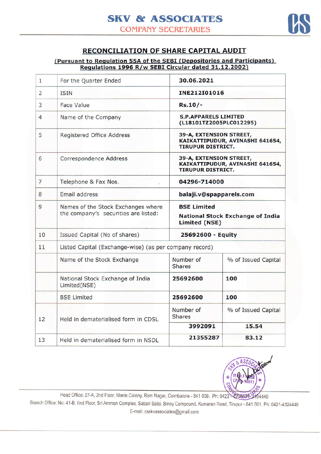

## RECONCILIATION OF SHARE CAPITAL AUDIT

## (Pursuant to Regulation 55A of the SEBI (Depositories and Participants) Regulations 1996 R/w SEBI Circular dated 31.12.2002)

| $\mathbf{1}$   | For the Quarter Ended                                                      | 30.06.2021                                                                             |                     |  |  |  |  |
|----------------|----------------------------------------------------------------------------|----------------------------------------------------------------------------------------|---------------------|--|--|--|--|
| $\overline{2}$ | <b>ISIN</b>                                                                | INE212I01016                                                                           |                     |  |  |  |  |
| 3              | <b>Face Value</b>                                                          | $Rs.10/-$                                                                              |                     |  |  |  |  |
| $\overline{4}$ | Name of the Company                                                        | <b>S.P.APPARELS LIMITED</b><br>(L18101TZ2005PLC012295)                                 |                     |  |  |  |  |
| 5              | Registered Office Address                                                  | 39-A, EXTENSION STREET,<br>KAIKATTIPUDUR, AVINASHI 641654,<br><b>TIRUPUR DISTRICT.</b> |                     |  |  |  |  |
| 6              | Correspondence Address                                                     | 39-A, EXTENSION STREET,<br>KAIKATTIPUDUR, AVINASHI 641654,<br><b>TIRUPUR DISTRICT.</b> |                     |  |  |  |  |
| $\overline{7}$ | Telephone & Fax Nos.                                                       | 04296-714000                                                                           |                     |  |  |  |  |
| 8              | Email address                                                              | balaji.v@spapparels.com                                                                |                     |  |  |  |  |
| 9              | Names of the Stock Exchanges where<br>the company's securities are listed: | <b>BSE Limited</b><br><b>National Stock Exchange of India</b><br><b>Limited (NSE)</b>  |                     |  |  |  |  |
| 10             | Issued Capital (No of shares)                                              | 25692600 - Equity                                                                      |                     |  |  |  |  |
| 11             | Listed Capital (Exchange-wise) (as per company record)                     |                                                                                        |                     |  |  |  |  |
|                | Name of the Stock Exchange                                                 | Number of<br><b>Shares</b>                                                             | % of Issued Capital |  |  |  |  |
|                | National Stock Exchange of India<br>Limited(NSE)                           | 25692600                                                                               | 100                 |  |  |  |  |
|                | <b>BSE Limited</b>                                                         | 25692600                                                                               | 100                 |  |  |  |  |
| 12             | Held in dematerialised form in CDSL                                        | Number of<br><b>Shares</b>                                                             | % of Issued Capital |  |  |  |  |
|                |                                                                            | 3992091                                                                                | 15.54               |  |  |  |  |
| 13             | Held in dematerialised form in NSDL                                        | 21355287                                                                               | 83.12               |  |  |  |  |



Head Office: 27-A, 2nd Floor, Manis Colony, Ram Nagar, Coimbatore - 641 009. Ph: 0422 42094784-3194440

Branch Office: No: 41-B, IInd Floor, Sri Amman Complex, Sabari Salai, Binny Compound, Kumaran Road, Tirupur - 641 601. Ph: 0421-4324440 E-mail: csskvassociates@gmail.com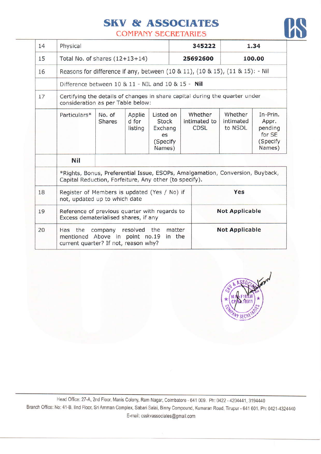## SKV & ASSOCIATES



COMPANY SECRETARIES

| 14 | Physical                                                                                                                                |                                                                               |                            |                                                                  | 345222                |                                        | 1.34                            |                                                               |
|----|-----------------------------------------------------------------------------------------------------------------------------------------|-------------------------------------------------------------------------------|----------------------------|------------------------------------------------------------------|-----------------------|----------------------------------------|---------------------------------|---------------------------------------------------------------|
| 15 | Total No. of shares $(12+13+14)$                                                                                                        |                                                                               |                            |                                                                  | 25692600              | 100.00                                 |                                 |                                                               |
| 16 |                                                                                                                                         | Reasons for difference if any, between (10 & 11), (10 & 15), (11 & 15): - Nil |                            |                                                                  |                       |                                        |                                 |                                                               |
|    | Difference between 10 & 11 - NIL and 10 & 15 - Nil                                                                                      |                                                                               |                            |                                                                  |                       |                                        |                                 |                                                               |
| 17 | Certifying the details of changes in share capital during the quarter under<br>consideration as per Table below:                        |                                                                               |                            |                                                                  |                       |                                        |                                 |                                                               |
|    | Particulars*                                                                                                                            | No. of<br><b>Shares</b>                                                       | Applie<br>d for<br>listing | Listed on<br><b>Stock</b><br>Exchang<br>es<br>(Specify<br>Names) |                       | Whether<br>intimated to<br><b>CDSL</b> | Whether<br>intimated<br>to NSDL | In-Prin.<br>Appr.<br>pending<br>for SE<br>(Specify)<br>Names) |
|    | <b>Nil</b>                                                                                                                              |                                                                               |                            |                                                                  |                       |                                        |                                 |                                                               |
|    | *Rights, Bonus, Preferential Issue, ESOPs, Amalgamation, Conversion, Buyback,<br>Capital Reduction, Forfeiture, Any other (to specify). |                                                                               |                            |                                                                  |                       |                                        |                                 |                                                               |
| 18 | Register of Members is updated (Yes / No) if<br>not, updated up to which date                                                           |                                                                               |                            |                                                                  |                       |                                        | Yes                             |                                                               |
| 19 | Reference of previous quarter with regards to<br>Excess dematerialised shares, if any                                                   |                                                                               |                            |                                                                  |                       | <b>Not Applicable</b>                  |                                 |                                                               |
| 20 | company resolved the matter<br>Has the<br>mentioned Above in point no.19<br>in the<br>current quarter? If not, reason why?              |                                                                               |                            |                                                                  | <b>Not Applicable</b> |                                        |                                 |                                                               |



Head Office: 27-A, 2nd Floor, Manis Colony, Ram Nagar, Coimbatore - 641 009. Ph: 0422 - 4204441, 3194440 Branch Office: No: 41-B, IInd Floor, Sri Amman Complex, Sabari Salai, Binny Compound, Kumaran Road, Tirupur - 641 601. Ph: 0421-4324440 E-mail: csskvassociates@gmail.com